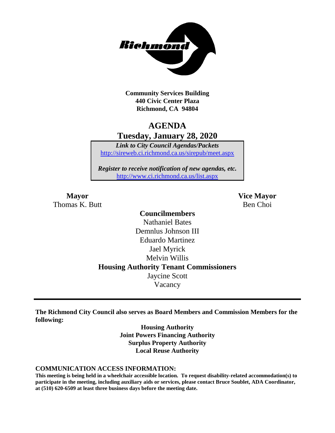

**Community Services Building 440 Civic Center Plaza Richmond, CA 94804**

## **AGENDA Tuesday, January 28, 2020**

*Link to City Council Agendas/Packets* <http://sireweb.ci.richmond.ca.us/sirepub/meet.aspx>

*Register to receive notification of new agendas, etc.* <http://www.ci.richmond.ca.us/list.aspx>

**Mayor Vice Mayor** Thomas K. Butt Ben Choi

### **Councilmembers** Nathaniel Bates Demnlus Johnson III Eduardo Martinez Jael Myrick Melvin Willis **Housing Authority Tenant Commissioners** Jaycine Scott Vacancy

**The Richmond City Council also serves as Board Members and Commission Members for the following:**

> **Housing Authority Joint Powers Financing Authority Surplus Property Authority Local Reuse Authority**

#### **COMMUNICATION ACCESS INFORMATION:**

**This meeting is being held in a wheelchair accessible location. To request disability-related accommodation(s) to participate in the meeting, including auxiliary aids or services, please contact Bruce Soublet, ADA Coordinator, at (510) 620-6509 at least three business days before the meeting date.**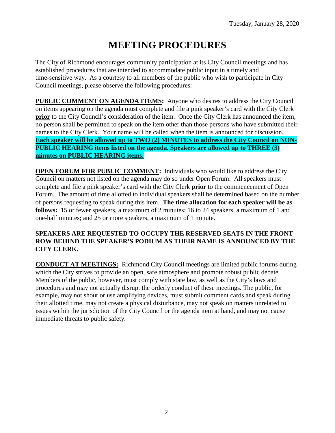# **MEETING PROCEDURES**

The City of Richmond encourages community participation at its City Council meetings and has established procedures that are intended to accommodate public input in a timely and time-sensitive way. As a courtesy to all members of the public who wish to participate in City Council meetings, please observe the following procedures:

**PUBLIC COMMENT ON AGENDA ITEMS:** Anyone who desires to address the City Council on items appearing on the agenda must complete and file a pink speaker's card with the City Clerk **prior** to the City Council's consideration of the item. Once the City Clerk has announced the item, no person shall be permitted to speak on the item other than those persons who have submitted their names to the City Clerk. Your name will be called when the item is announced for discussion. **Each speaker will be allowed up to TWO (2) MINUTES to address the City Council on NON-PUBLIC HEARING items listed on the agenda. Speakers are allowed up to THREE (3) minutes on PUBLIC HEARING items.**

**OPEN FORUM FOR PUBLIC COMMENT:** Individuals who would like to address the City Council on matters not listed on the agenda may do so under Open Forum. All speakers must complete and file a pink speaker's card with the City Clerk **prior** to the commencement of Open Forum. The amount of time allotted to individual speakers shall be determined based on the number of persons requesting to speak during this item. **The time allocation for each speaker will be as follows:** 15 or fewer speakers, a maximum of 2 minutes; 16 to 24 speakers, a maximum of 1 and one-half minutes; and 25 or more speakers, a maximum of 1 minute.

#### **SPEAKERS ARE REQUESTED TO OCCUPY THE RESERVED SEATS IN THE FRONT ROW BEHIND THE SPEAKER'S PODIUM AS THEIR NAME IS ANNOUNCED BY THE CITY CLERK.**

**CONDUCT AT MEETINGS:** Richmond City Council meetings are limited public forums during which the City strives to provide an open, safe atmosphere and promote robust public debate. Members of the public, however, must comply with state law, as well as the City's laws and procedures and may not actually disrupt the orderly conduct of these meetings. The public, for example, may not shout or use amplifying devices, must submit comment cards and speak during their allotted time, may not create a physical disturbance, may not speak on matters unrelated to issues within the jurisdiction of the City Council or the agenda item at hand, and may not cause immediate threats to public safety.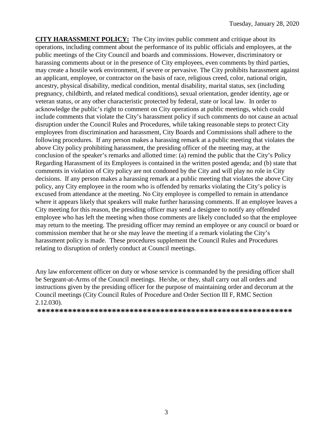**CITY HARASSMENT POLICY:** The City invites public comment and critique about its operations, including comment about the performance of its public officials and employees, at the public meetings of the City Council and boards and commissions. However, discriminatory or harassing comments about or in the presence of City employees, even comments by third parties, may create a hostile work environment, if severe or pervasive. The City prohibits harassment against an applicant, employee, or contractor on the basis of race, religious creed, color, national origin, ancestry, physical disability, medical condition, mental disability, marital status, sex (including pregnancy, childbirth, and related medical conditions), sexual orientation, gender identity, age or veteran status, or any other characteristic protected by federal, state or local law. In order to acknowledge the public's right to comment on City operations at public meetings, which could include comments that violate the City's harassment policy if such comments do not cause an actual disruption under the Council Rules and Procedures, while taking reasonable steps to protect City employees from discrimination and harassment, City Boards and Commissions shall adhere to the following procedures. If any person makes a harassing remark at a public meeting that violates the above City policy prohibiting harassment, the presiding officer of the meeting may, at the conclusion of the speaker's remarks and allotted time: (a) remind the public that the City's Policy Regarding Harassment of its Employees is contained in the written posted agenda; and (b) state that comments in violation of City policy are not condoned by the City and will play no role in City decisions. If any person makes a harassing remark at a public meeting that violates the above City policy, any City employee in the room who is offended by remarks violating the City's policy is excused from attendance at the meeting. No City employee is compelled to remain in attendance where it appears likely that speakers will make further harassing comments. If an employee leaves a City meeting for this reason, the presiding officer may send a designee to notify any offended employee who has left the meeting when those comments are likely concluded so that the employee may return to the meeting. The presiding officer may remind an employee or any council or board or commission member that he or she may leave the meeting if a remark violating the City's harassment policy is made. These procedures supplement the Council Rules and Procedures relating to disruption of orderly conduct at Council meetings.

Any law enforcement officer on duty or whose service is commanded by the presiding officer shall be Sergeant-at-Arms of the Council meetings. He/she, or they, shall carry out all orders and instructions given by the presiding officer for the purpose of maintaining order and decorum at the Council meetings (City Council Rules of Procedure and Order Section III F, RMC Section 2.12.030).

**\*\*\*\*\*\*\*\*\*\*\*\*\*\*\*\*\*\*\*\*\*\*\*\*\*\*\*\*\*\*\*\*\*\*\*\*\*\*\*\*\*\*\*\*\*\*\*\*\*\*\*\*\*\*\*\*\*\***